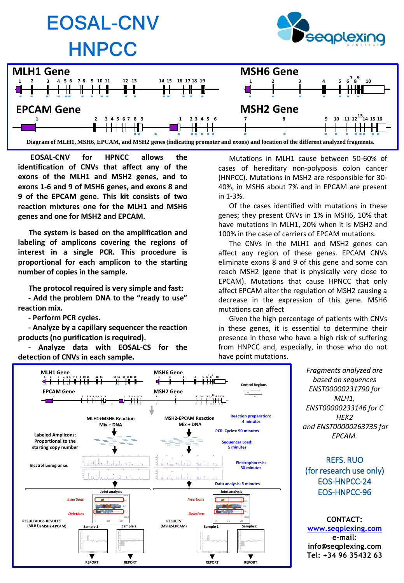

**EOSAL-CNV for HPNCC allows the identification of CNVs that affect any of the exons of the MLH1 and MSH2 genes, and to exons 1-6 and 9 of MSH6 genes, and exons 8 and 9 of the EPCAM gene. This kit consists of two reaction mixtures one for the MLH1 and MSH6 genes and one for MSH2 and EPCAM.**

**The system is based on the amplification and labeling of amplicons covering the regions of interest in a single PCR. This procedure is proportional for each amplicon to the starting number of copies in the sample.**

**The protocol required is very simple and fast:**

**- Add the problem DNA to the "ready to use" reaction mix.**

**- Perform PCR cycles.**

**- Analyze by a capillary sequencer the reaction products (no purification is required).**

**- Analyze data with EOSAL-CS for the detection of CNVs in each sample.**

**REPORT REPORT**

Mutations in MLH1 cause between 50-60% of cases of hereditary non-polyposis colon cancer (HNPCC). Mutations in MSH2 are responsible for 30- 40%, in MSH6 about 7% and in EPCAM are present in 1-3%.

Of the cases identified with mutations in these genes; they present CNVs in 1% in MSH6, 10% that have mutations in MLH1, 20% when it is MSH2 and 100% in the case of carriers of EPCAM mutations.

The CNVs in the MLH1 and MSH2 genes can affect any region of these genes. EPCAM CNVs eliminate exons 8 and 9 of this gene and some can reach MSH2 (gene that is physically very close to EPCAM). Mutations that cause HPNCC that only affect EPCAM alter the regulation of MSH2 causing a decrease in the expression of this gene. MSH6 mutations can affect

Given the high percentage of patients with CNVs in these genes, it is essential to determine their presence in those who have a high risk of suffering from HNPCC and, especially, in those who do not have point mutations.



**REPORT REPORT**

*Fragments analyzed are based on sequences ENST00000231790 for MLH1, ENST00000233146 for C HEK2 and ENST00000263735 for EPCAM.*

REFS. RUO (for research use only) EOS-HNPCC-24 EOS-HNPCC-96

**CONTACT: [www.seqplexing.com](http://www.seqplexing.com/) e-mail: info@seqplexing.com Tel: +34 96 35432 63**